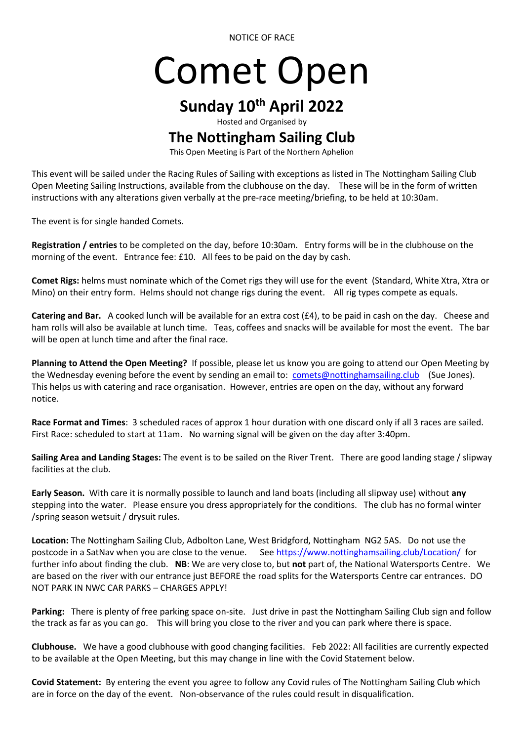NOTICE OF RACE

## Comet Open

## **Sunday 10th April 2022**

Hosted and Organised by

## **The Nottingham Sailing Club**

This Open Meeting is Part of the Northern Aphelion

This event will be sailed under the Racing Rules of Sailing with exceptions as listed in The Nottingham Sailing Club Open Meeting Sailing Instructions, available from the clubhouse on the day. These will be in the form of written instructions with any alterations given verbally at the pre-race meeting/briefing, to be held at 10:30am.

The event is for single handed Comets.

**Registration / entries** to be completed on the day, before 10:30am. Entry forms will be in the clubhouse on the morning of the event. Entrance fee: £10. All fees to be paid on the day by cash.

**Comet Rigs:** helms must nominate which of the Comet rigs they will use for the event (Standard, White Xtra, Xtra or Mino) on their entry form. Helms should not change rigs during the event. All rig types compete as equals.

**Catering and Bar.** A cooked lunch will be available for an extra cost (£4), to be paid in cash on the day. Cheese and ham rolls will also be available at lunch time. Teas, coffees and snacks will be available for most the event. The bar will be open at lunch time and after the final race.

**Planning to Attend the Open Meeting?** If possible, please let us know you are going to attend our Open Meeting by the Wednesday evening before the event by sending an email to: [comets@nottinghamsailing.club](mailto:comets@nottinghamsailing.club) (Sue Jones). This helps us with catering and race organisation. However, entries are open on the day, without any forward notice.

**Race Format and Times**: 3 scheduled races of approx 1 hour duration with one discard only if all 3 races are sailed. First Race: scheduled to start at 11am. No warning signal will be given on the day after 3:40pm.

**Sailing Area and Landing Stages:** The event is to be sailed on the River Trent. There are good landing stage / slipway facilities at the club.

**Early Season.** With care it is normally possible to launch and land boats (including all slipway use) without **any** stepping into the water. Please ensure you dress appropriately for the conditions. The club has no formal winter /spring season wetsuit / drysuit rules.

**Location:** The Nottingham Sailing Club, Adbolton Lane, West Bridgford, Nottingham NG2 5AS. Do not use the postcode in a SatNav when you are close to the venue. See<https://www.nottinghamsailing.club/Location/>for further info about finding the club. **NB**: We are very close to, but **not** part of, the National Watersports Centre. We are based on the river with our entrance just BEFORE the road splits for the Watersports Centre car entrances. DO NOT PARK IN NWC CAR PARKS – CHARGES APPLY!

**Parking:** There is plenty of free parking space on-site. Just drive in past the Nottingham Sailing Club sign and follow the track as far as you can go. This will bring you close to the river and you can park where there is space.

**Clubhouse.** We have a good clubhouse with good changing facilities. Feb 2022: All facilities are currently expected to be available at the Open Meeting, but this may change in line with the Covid Statement below.

**Covid Statement:** By entering the event you agree to follow any Covid rules of The Nottingham Sailing Club which are in force on the day of the event. Non-observance of the rules could result in disqualification.